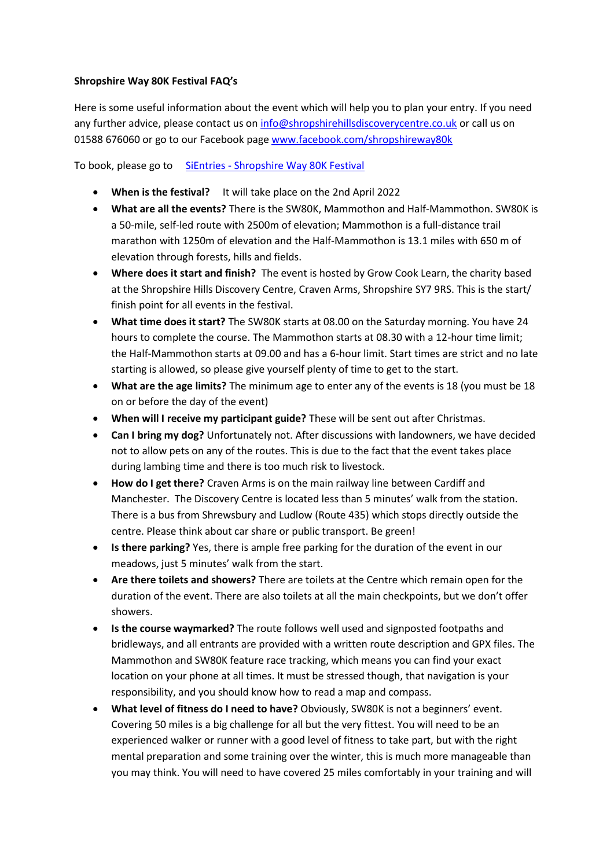## **Shropshire Way 80K Festival FAQ's**

Here is some useful information about the event which will help you to plan your entry. If you need any further advice, please contact us o[n info@shropshirehillsdiscoverycentre.co.uk](mailto:info@shropshirehillsdiscoverycentre.co.uk) or call us on 01588 676060 or go to our Facebook pag[e www.facebook.com/shropshireway80k](http://www.facebook.com/shropshireway80k)

To book, please go to SiEntries - [Shropshire Way 80K Festival](https://www.sientries.co.uk/event.php?event_id=8762)

- **When is the festival?** It will take place on the 2nd April 2022
- **What are all the events?** There is the SW80K, Mammothon and Half-Mammothon. SW80K is a 50-mile, self-led route with 2500m of elevation; Mammothon is a full-distance trail marathon with 1250m of elevation and the Half-Mammothon is 13.1 miles with 650 m of elevation through forests, hills and fields.
- **Where does it start and finish?** The event is hosted by Grow Cook Learn, the charity based at the Shropshire Hills Discovery Centre, Craven Arms, Shropshire SY7 9RS. This is the start/ finish point for all events in the festival.
- **What time does it start?** The SW80K starts at 08.00 on the Saturday morning. You have 24 hours to complete the course. The Mammothon starts at 08.30 with a 12-hour time limit; the Half-Mammothon starts at 09.00 and has a 6-hour limit. Start times are strict and no late starting is allowed, so please give yourself plenty of time to get to the start.
- **What are the age limits?** The minimum age to enter any of the events is 18 (you must be 18 on or before the day of the event)
- **When will I receive my participant guide?** These will be sent out after Christmas.
- **Can I bring my dog?** Unfortunately not. After discussions with landowners, we have decided not to allow pets on any of the routes. This is due to the fact that the event takes place during lambing time and there is too much risk to livestock.
- **How do I get there?** Craven Arms is on the main railway line between Cardiff and Manchester. The Discovery Centre is located less than 5 minutes' walk from the station. There is a bus from Shrewsbury and Ludlow (Route 435) which stops directly outside the centre. Please think about car share or public transport. Be green!
- **Is there parking?** Yes, there is ample free parking for the duration of the event in our meadows, just 5 minutes' walk from the start.
- **Are there toilets and showers?** There are toilets at the Centre which remain open for the duration of the event. There are also toilets at all the main checkpoints, but we don't offer showers.
- **Is the course waymarked?** The route follows well used and signposted footpaths and bridleways, and all entrants are provided with a written route description and GPX files. The Mammothon and SW80K feature race tracking, which means you can find your exact location on your phone at all times. It must be stressed though, that navigation is your responsibility, and you should know how to read a map and compass.
- **What level of fitness do I need to have?** Obviously, SW80K is not a beginners' event. Covering 50 miles is a big challenge for all but the very fittest. You will need to be an experienced walker or runner with a good level of fitness to take part, but with the right mental preparation and some training over the winter, this is much more manageable than you may think. You will need to have covered 25 miles comfortably in your training and will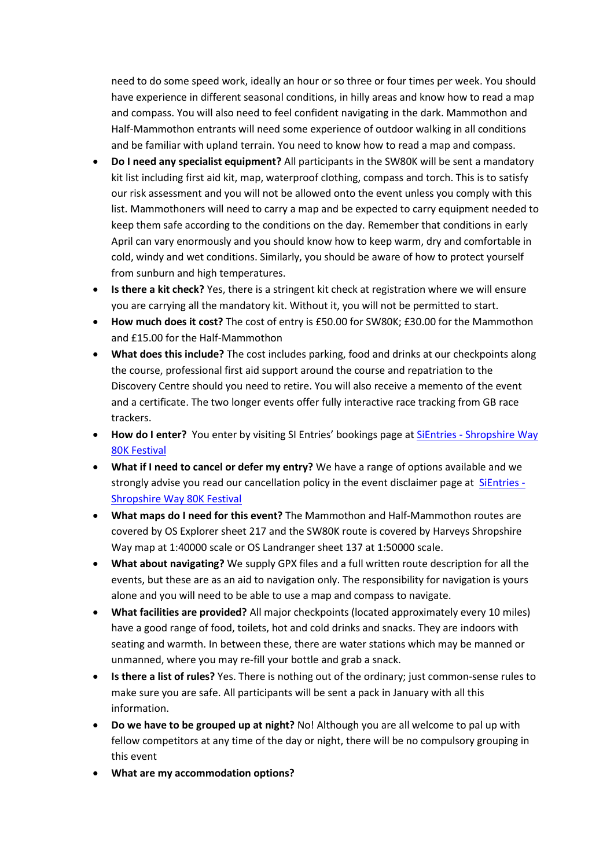need to do some speed work, ideally an hour or so three or four times per week. You should have experience in different seasonal conditions, in hilly areas and know how to read a map and compass. You will also need to feel confident navigating in the dark. Mammothon and Half-Mammothon entrants will need some experience of outdoor walking in all conditions and be familiar with upland terrain. You need to know how to read a map and compass.

- **Do I need any specialist equipment?** All participants in the SW80K will be sent a mandatory kit list including first aid kit, map, waterproof clothing, compass and torch. This is to satisfy our risk assessment and you will not be allowed onto the event unless you comply with this list. Mammothoners will need to carry a map and be expected to carry equipment needed to keep them safe according to the conditions on the day. Remember that conditions in early April can vary enormously and you should know how to keep warm, dry and comfortable in cold, windy and wet conditions. Similarly, you should be aware of how to protect yourself from sunburn and high temperatures.
- **Is there a kit check?** Yes, there is a stringent kit check at registration where we will ensure you are carrying all the mandatory kit. Without it, you will not be permitted to start.
- **How much does it cost?** The cost of entry is £50.00 for SW80K; £30.00 for the Mammothon and £15.00 for the Half-Mammothon
- **What does this include?** The cost includes parking, food and drinks at our checkpoints along the course, professional first aid support around the course and repatriation to the Discovery Centre should you need to retire. You will also receive a memento of the event and a certificate. The two longer events offer fully interactive race tracking from GB race trackers.
- **How do I enter?** You enter by visiting SI Entries' bookings page at SiEntries [Shropshire Way](https://www.sientries.co.uk/event.php?event_id=8762)  [80K Festival](https://www.sientries.co.uk/event.php?event_id=8762)
- **What if I need to cancel or defer my entry?** We have a range of options available and we strongly advise you read our cancellation policy in the event disclaimer page at [SiEntries -](https://www.sientries.co.uk/event.php?event_id=8762) [Shropshire Way 80K Festival](https://www.sientries.co.uk/event.php?event_id=8762)
- **What maps do I need for this event?** The Mammothon and Half-Mammothon routes are covered by OS Explorer sheet 217 and the SW80K route is covered by Harveys Shropshire Way map at 1:40000 scale or OS Landranger sheet 137 at 1:50000 scale.
- **What about navigating?** We supply GPX files and a full written route description for all the events, but these are as an aid to navigation only. The responsibility for navigation is yours alone and you will need to be able to use a map and compass to navigate.
- **What facilities are provided?** All major checkpoints (located approximately every 10 miles) have a good range of food, toilets, hot and cold drinks and snacks. They are indoors with seating and warmth. In between these, there are water stations which may be manned or unmanned, where you may re-fill your bottle and grab a snack.
- **Is there a list of rules?** Yes. There is nothing out of the ordinary; just common-sense rules to make sure you are safe. All participants will be sent a pack in January with all this information.
- **Do we have to be grouped up at night?** No! Although you are all welcome to pal up with fellow competitors at any time of the day or night, there will be no compulsory grouping in this event
- **What are my accommodation options?**